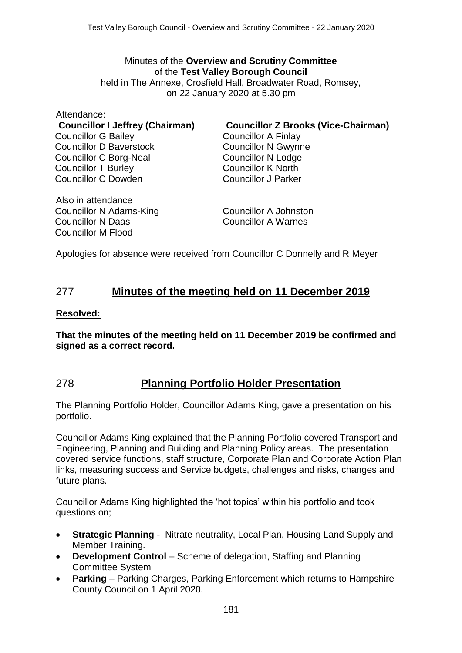## Minutes of the **Overview and Scrutiny Committee** of the **Test Valley Borough Council**

held in The Annexe, Crosfield Hall, Broadwater Road, Romsey, on 22 January 2020 at 5.30 pm

Attendance: Councillor G Bailey Councillor D Baverstock Councillor C Borg-Neal Councillor T Burley Councillor C Dowden

**Councillor I Jeffrey (Chairman) Councillor Z Brooks (Vice-Chairman)**

Councillor A Finlay Councillor N Gwynne Councillor N Lodge Councillor K North Councillor J Parker

Also in attendance Councillor N Adams-King Councillor N Daas Councillor M Flood

Councillor A Johnston Councillor A Warnes

Apologies for absence were received from Councillor C Donnelly and R Meyer

## 277 **Minutes of the meeting held on 11 December 2019**

#### **Resolved:**

**That the minutes of the meeting held on 11 December 2019 be confirmed and signed as a correct record.**

### 278 **Planning Portfolio Holder Presentation**

The Planning Portfolio Holder, Councillor Adams King, gave a presentation on his portfolio.

Councillor Adams King explained that the Planning Portfolio covered Transport and Engineering, Planning and Building and Planning Policy areas. The presentation covered service functions, staff structure, Corporate Plan and Corporate Action Plan links, measuring success and Service budgets, challenges and risks, changes and future plans.

Councillor Adams King highlighted the 'hot topics' within his portfolio and took questions on;

- **Strategic Planning** Nitrate neutrality, Local Plan, Housing Land Supply and Member Training.
- **Development Control** Scheme of delegation, Staffing and Planning Committee System
- **Parking** Parking Charges, Parking Enforcement which returns to Hampshire County Council on 1 April 2020.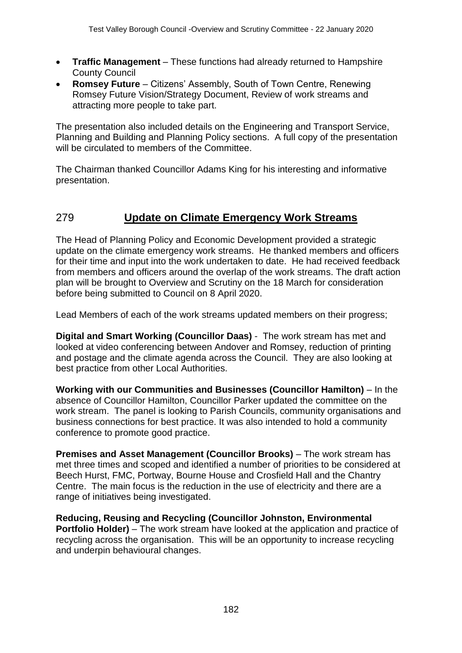- **Traffic Management** These functions had already returned to Hampshire County Council
- **Romsey Future** Citizens' Assembly, South of Town Centre, Renewing Romsey Future Vision/Strategy Document, Review of work streams and attracting more people to take part.

The presentation also included details on the Engineering and Transport Service, Planning and Building and Planning Policy sections. A full copy of the presentation will be circulated to members of the Committee.

The Chairman thanked Councillor Adams King for his interesting and informative presentation.

## 279 **Update on Climate Emergency Work Streams**

The Head of Planning Policy and Economic Development provided a strategic update on the climate emergency work streams. He thanked members and officers for their time and input into the work undertaken to date. He had received feedback from members and officers around the overlap of the work streams. The draft action plan will be brought to Overview and Scrutiny on the 18 March for consideration before being submitted to Council on 8 April 2020.

Lead Members of each of the work streams updated members on their progress;

**Digital and Smart Working (Councillor Daas)** - The work stream has met and looked at video conferencing between Andover and Romsey, reduction of printing and postage and the climate agenda across the Council. They are also looking at best practice from other Local Authorities.

**Working with our Communities and Businesses (Councillor Hamilton)** – In the absence of Councillor Hamilton, Councillor Parker updated the committee on the work stream. The panel is looking to Parish Councils, community organisations and business connections for best practice. It was also intended to hold a community conference to promote good practice.

**Premises and Asset Management (Councillor Brooks)** – The work stream has met three times and scoped and identified a number of priorities to be considered at Beech Hurst, FMC, Portway, Bourne House and Crosfield Hall and the Chantry Centre. The main focus is the reduction in the use of electricity and there are a range of initiatives being investigated.

**Reducing, Reusing and Recycling (Councillor Johnston, Environmental Portfolio Holder)** – The work stream have looked at the application and practice of recycling across the organisation. This will be an opportunity to increase recycling and underpin behavioural changes.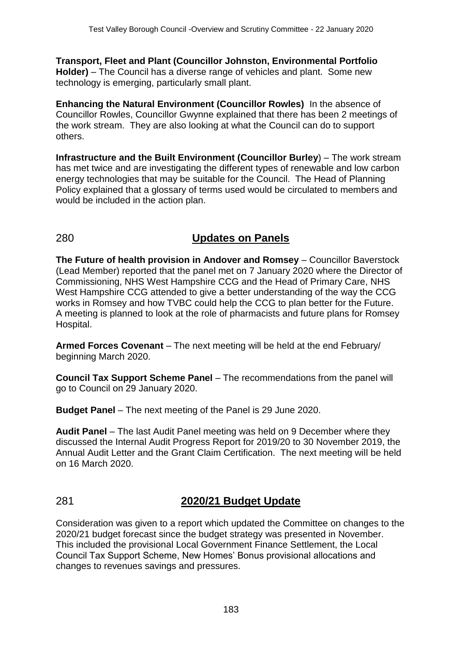**Transport, Fleet and Plant (Councillor Johnston, Environmental Portfolio Holder)** – The Council has a diverse range of vehicles and plant. Some new technology is emerging, particularly small plant.

**Enhancing the Natural Environment (Councillor Rowles)** In the absence of Councillor Rowles, Councillor Gwynne explained that there has been 2 meetings of the work stream. They are also looking at what the Council can do to support others.

**Infrastructure and the Built Environment (Councillor Burley**) – The work stream has met twice and are investigating the different types of renewable and low carbon energy technologies that may be suitable for the Council. The Head of Planning Policy explained that a glossary of terms used would be circulated to members and would be included in the action plan.

# 280 **Updates on Panels**

**The Future of health provision in Andover and Romsey** – Councillor Baverstock (Lead Member) reported that the panel met on 7 January 2020 where the Director of Commissioning, NHS West Hampshire CCG and the Head of Primary Care, NHS West Hampshire CCG attended to give a better understanding of the way the CCG works in Romsey and how TVBC could help the CCG to plan better for the Future. A meeting is planned to look at the role of pharmacists and future plans for Romsey Hospital.

**Armed Forces Covenant** – The next meeting will be held at the end February/ beginning March 2020.

**Council Tax Support Scheme Panel** – The recommendations from the panel will go to Council on 29 January 2020.

**Budget Panel** – The next meeting of the Panel is 29 June 2020.

**Audit Panel** – The last Audit Panel meeting was held on 9 December where they discussed the Internal Audit Progress Report for 2019/20 to 30 November 2019, the Annual Audit Letter and the Grant Claim Certification. The next meeting will be held on 16 March 2020.

## 281 **2020/21 Budget Update**

Consideration was given to a report which updated the Committee on changes to the 2020/21 budget forecast since the budget strategy was presented in November. This included the provisional Local Government Finance Settlement, the Local Council Tax Support Scheme, New Homes' Bonus provisional allocations and changes to revenues savings and pressures.